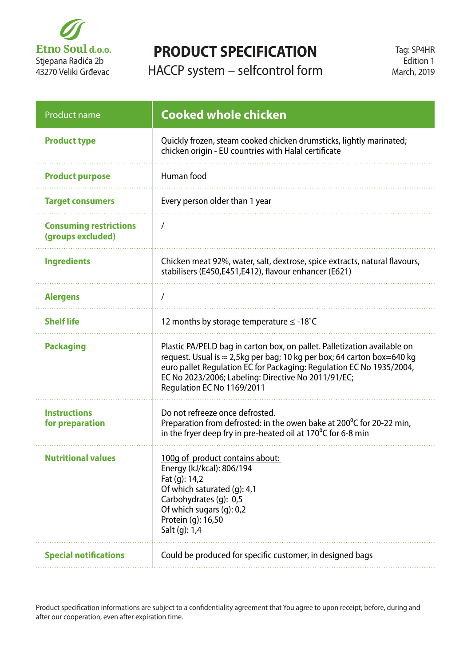

## **PRODUCT SPECIFICATION**

HACCP system – selfcontrol form

| <b>Product name</b>                                | <b>Cooked whole chicken</b>                                                                                                                                                                                                                                                                                             |
|----------------------------------------------------|-------------------------------------------------------------------------------------------------------------------------------------------------------------------------------------------------------------------------------------------------------------------------------------------------------------------------|
| <b>Product type</b>                                | Quickly frozen, steam cooked chicken drumsticks, lightly marinated;<br>chicken origin - EU countries with Halal certificate                                                                                                                                                                                             |
| <b>Product purpose</b>                             | Human food                                                                                                                                                                                                                                                                                                              |
| <b>Target consumers</b>                            | Every person older than 1 year                                                                                                                                                                                                                                                                                          |
| <b>Consuming restrictions</b><br>(groups excluded) | $\prime$                                                                                                                                                                                                                                                                                                                |
| <b>Ingredients</b>                                 | Chicken meat 92%, water, salt, dextrose, spice extracts, natural flavours,<br>stabilisers (E450,E451,E412), flavour enhancer (E621)                                                                                                                                                                                     |
| <b>Alergens</b>                                    |                                                                                                                                                                                                                                                                                                                         |
| <b>Shelf life</b>                                  | 12 months by storage temperature $\leq$ -18°C                                                                                                                                                                                                                                                                           |
| <b>Packaging</b>                                   | Plastic PA/PELD bag in carton box, on pallet. Palletization available on<br>request. Usual is $\approx$ 2,5kg per bag; 10 kg per box; 64 carton box=640 kg<br>euro pallet Regulation EC for Packaging: Regulation EC No 1935/2004,<br>EC No 2023/2006; Labeling: Directive No 2011/91/EC;<br>Regulation EC No 1169/2011 |
| <b>Instructions</b><br>for preparation             | Do not refreeze once defrosted.<br>Preparation from defrosted: in the owen bake at $200^{\circ}$ C for 20-22 min,<br>in the fryer deep fry in pre-heated oil at 170 $\degree$ C for 6-8 min                                                                                                                             |
| <b>Nutritional values</b>                          | 100g of product contains about:<br>Energy (kJ/kcal): 806/194<br>Fat (g): 14,2<br>Of which saturated (g): 4,1<br>Carbohydrates (g): 0,5<br>Of which sugars (g): 0,2<br>Protein (q): 16,50<br>Salt (g): 1,4                                                                                                               |
| <b>Special notifications</b>                       | Could be produced for specific customer, in designed bags                                                                                                                                                                                                                                                               |

Product specification informations are subject to a confidentiality agreement that You agree to upon receipt; before, during and after our cooperation, even after expiration time.